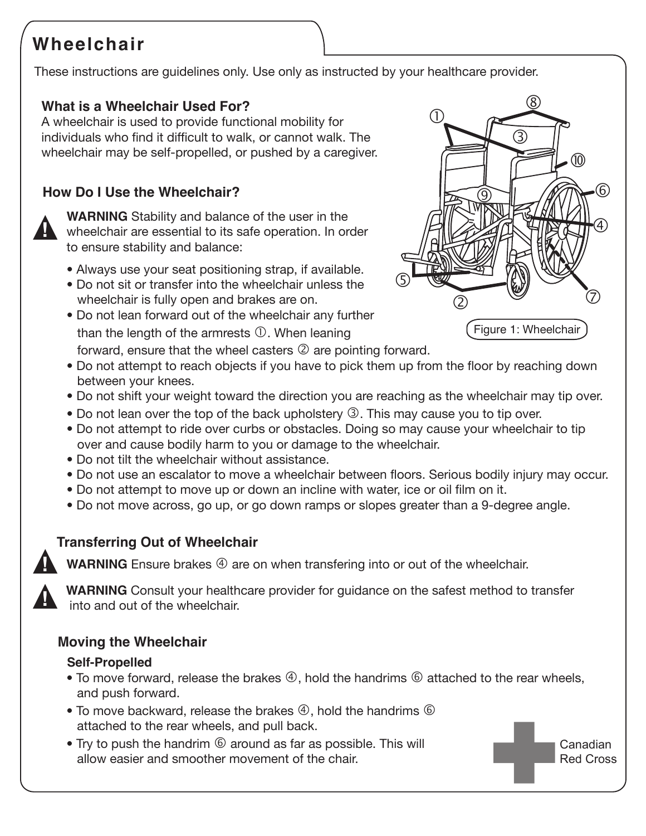# **Wheelchair**

These instructions are guidelines only. Use only as instructed by your healthcare provider.

## **What is a Wheelchair Used For?**

A wheelchair is used to provide functional mobility for individuals who find it difficult to walk, or cannot walk. The wheelchair may be self-propelled, or pushed by a caregiver.

## **How Do I Use the Wheelchair?**



**WARNING** Stability and balance of the user in the wheelchair are essential to its safe operation. In order to ensure stability and balance:

- Always use your seat positioning strap, if available.
- Do not sit or transfer into the wheelchair unless the wheelchair is fully open and brakes are on.
- Do not lean forward out of the wheelchair any further than the length of the armrests  $\mathbb O$ . When leaning forward, ensure that the wheel casters  $\mathcal{Q}$  are pointing forward.



Canadian Red Cross

- Do not attempt to reach objects if you have to pick them up from the floor by reaching down between your knees.
- Do not shift your weight toward the direction you are reaching as the wheelchair may tip over.
- Do not lean over the top of the back upholstery  $\circled{3}$ . This may cause you to tip over.
- Do not attempt to ride over curbs or obstacles. Doing so may cause your wheelchair to tip over and cause bodily harm to you or damage to the wheelchair.
- Do not tilt the wheelchair without assistance.
- Do not use an escalator to move a wheelchair between floors. Serious bodily injury may occur.
- Do not attempt to move up or down an incline with water, ice or oil film on it.
- Do not move across, go up, or go down ramps or slopes greater than a 9-degree angle.

# **Transferring Out of Wheelchair**

**!**

**WARNING** Ensure brakes  $\textcircled{4}$  are on when transfering into or out of the wheelchair.



**WARNING** Consult your healthcare provider for guidance on the safest method to transfer into and out of the wheelchair.

## **Moving the Wheelchair**

#### **Self-Propelled**

- To move forward, release the brakes  $\circled{4}$ , hold the handrims  $\circled{6}$  attached to the rear wheels, and push forward.
- To move backward, release the brakes  $\Phi$ , hold the handrims  $\Phi$ attached to the rear wheels, and pull back.
- Try to push the handrim  $\odot$  around as far as possible. This will allow easier and smoother movement of the chair.